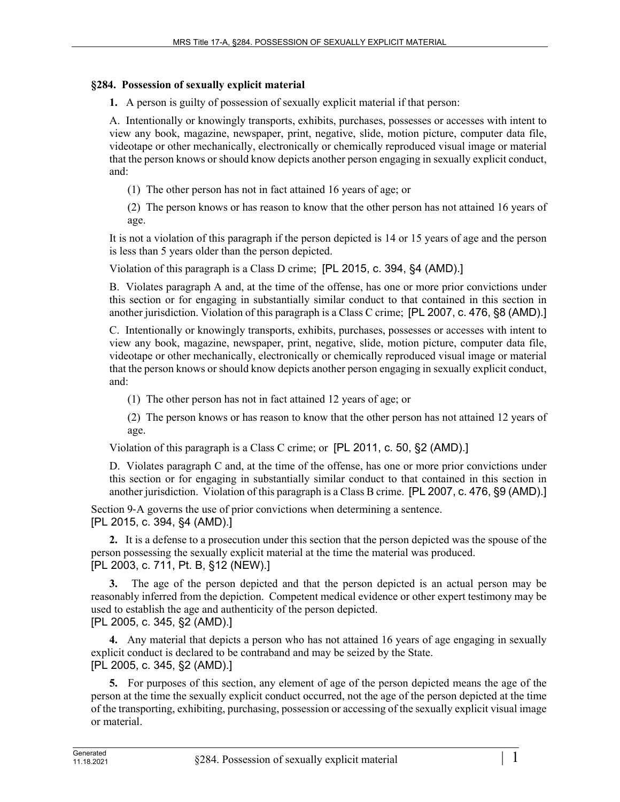## **§284. Possession of sexually explicit material**

**1.** A person is guilty of possession of sexually explicit material if that person:

A. Intentionally or knowingly transports, exhibits, purchases, possesses or accesses with intent to view any book, magazine, newspaper, print, negative, slide, motion picture, computer data file, videotape or other mechanically, electronically or chemically reproduced visual image or material that the person knows or should know depicts another person engaging in sexually explicit conduct, and:

(1) The other person has not in fact attained 16 years of age; or

(2) The person knows or has reason to know that the other person has not attained 16 years of age.

It is not a violation of this paragraph if the person depicted is 14 or 15 years of age and the person is less than 5 years older than the person depicted.

Violation of this paragraph is a Class D crime; [PL 2015, c. 394, §4 (AMD).]

B. Violates paragraph A and, at the time of the offense, has one or more prior convictions under this section or for engaging in substantially similar conduct to that contained in this section in another jurisdiction. Violation of this paragraph is a Class C crime; [PL 2007, c. 476, §8 (AMD).]

C. Intentionally or knowingly transports, exhibits, purchases, possesses or accesses with intent to view any book, magazine, newspaper, print, negative, slide, motion picture, computer data file, videotape or other mechanically, electronically or chemically reproduced visual image or material that the person knows or should know depicts another person engaging in sexually explicit conduct, and:

(1) The other person has not in fact attained 12 years of age; or

(2) The person knows or has reason to know that the other person has not attained 12 years of age.

Violation of this paragraph is a Class C crime; or [PL 2011, c. 50, §2 (AMD).]

D. Violates paragraph C and, at the time of the offense, has one or more prior convictions under this section or for engaging in substantially similar conduct to that contained in this section in another jurisdiction. Violation of this paragraph is a Class B crime. [PL 2007, c. 476, §9 (AMD).]

Section 9-A governs the use of prior convictions when determining a sentence. [PL 2015, c. 394, §4 (AMD).]

**2.** It is a defense to a prosecution under this section that the person depicted was the spouse of the person possessing the sexually explicit material at the time the material was produced. [PL 2003, c. 711, Pt. B, §12 (NEW).]

**3.** The age of the person depicted and that the person depicted is an actual person may be reasonably inferred from the depiction. Competent medical evidence or other expert testimony may be used to establish the age and authenticity of the person depicted. [PL 2005, c. 345, §2 (AMD).]

**4.** Any material that depicts a person who has not attained 16 years of age engaging in sexually explicit conduct is declared to be contraband and may be seized by the State. [PL 2005, c. 345, §2 (AMD).]

**5.** For purposes of this section, any element of age of the person depicted means the age of the person at the time the sexually explicit conduct occurred, not the age of the person depicted at the time of the transporting, exhibiting, purchasing, possession or accessing of the sexually explicit visual image or material.